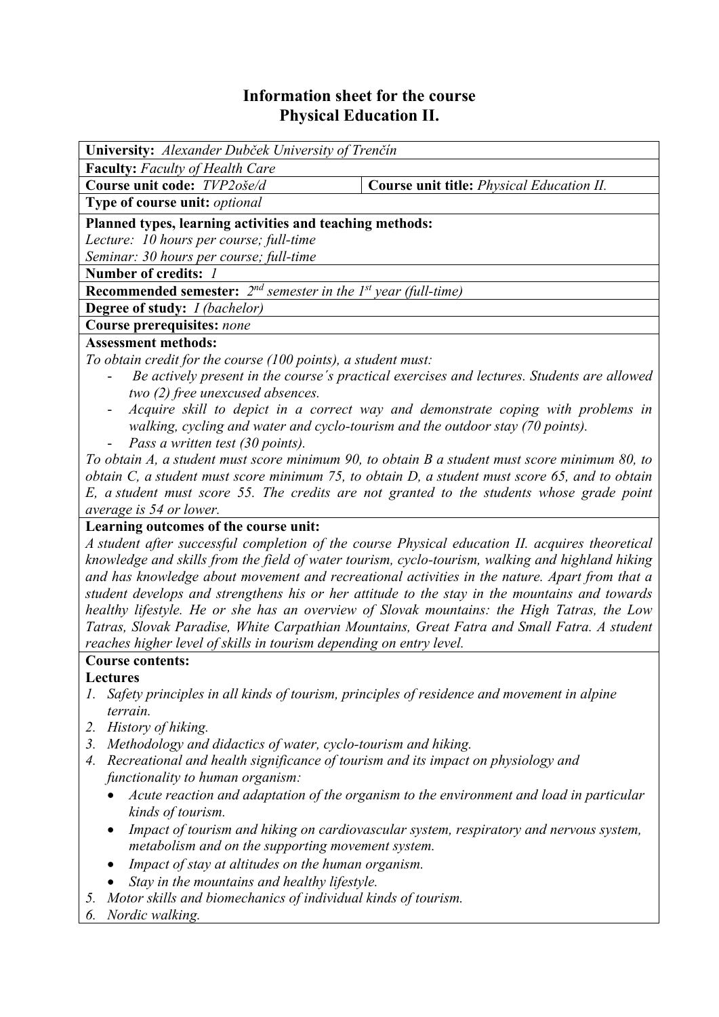# **Information sheet for the course Physical Education II.**

| <b>University:</b> Alexander Dubček University of Trenčín                              |                                                                                               |  |  |  |  |
|----------------------------------------------------------------------------------------|-----------------------------------------------------------------------------------------------|--|--|--|--|
| <b>Faculty:</b> Faculty of Health Care                                                 |                                                                                               |  |  |  |  |
| Course unit code: TVP2oše/d                                                            | <b>Course unit title:</b> <i>Physical Education II.</i>                                       |  |  |  |  |
| Type of course unit: <i>optional</i>                                                   |                                                                                               |  |  |  |  |
| Planned types, learning activities and teaching methods:                               |                                                                                               |  |  |  |  |
| Lecture: 10 hours per course; full-time                                                |                                                                                               |  |  |  |  |
| Seminar: 30 hours per course; full-time                                                |                                                                                               |  |  |  |  |
| Number of credits: 1                                                                   |                                                                                               |  |  |  |  |
| <b>Recommended semester:</b> $2^{nd}$ semester in the 1 <sup>st</sup> year (full-time) |                                                                                               |  |  |  |  |
| <b>Degree of study:</b> <i>I (bachelor)</i>                                            |                                                                                               |  |  |  |  |
| Course prerequisites: none                                                             |                                                                                               |  |  |  |  |
| <b>Assessment methods:</b>                                                             |                                                                                               |  |  |  |  |
| To obtain credit for the course (100 points), a student must:                          |                                                                                               |  |  |  |  |
| $\overline{\phantom{0}}$                                                               | Be actively present in the course's practical exercises and lectures. Students are allowed    |  |  |  |  |
| two (2) free unexcused absences.                                                       |                                                                                               |  |  |  |  |
| -<br>walking, cycling and water and cyclo-tourism and the outdoor stay (70 points).    | Acquire skill to depict in a correct way and demonstrate coping with problems in              |  |  |  |  |
| Pass a written test (30 points).                                                       |                                                                                               |  |  |  |  |
|                                                                                        | To obtain A, a student must score minimum 90, to obtain B a student must score minimum 80, to |  |  |  |  |

*obtain C, a student must score minimum 75, to obtain D, a student must score 65, and to obtain E, a student must score 55. The credits are not granted to the students whose grade point average is 54 or lower.*

# **Learning outcomes of the course unit:**

*A student after successful completion of the course Physical education II. acquires theoretical knowledge and skills from the field of water tourism, cyclo-tourism, walking and highland hiking and has knowledge about movement and recreational activities in the nature. Apart from that a student develops and strengthens his or her attitude to the stay in the mountains and towards healthy lifestyle. He or she has an overview of Slovak mountains: the High Tatras, the Low Tatras, Slovak Paradise, White Carpathian Mountains, Great Fatra and Small Fatra. A student reaches higher level of skills in tourism depending on entry level.* 

# **Course contents:**

**Lectures**

- *1. Safety principles in all kinds of tourism, principles of residence and movement in alpine terrain.*
- *2. History of hiking.*
- *3. Methodology and didactics of water, cyclo-tourism and hiking.*
- *4. Recreational and health significance of tourism and its impact on physiology and functionality to human organism:* 
	- *Acute reaction and adaptation of the organism to the environment and load in particular kinds of tourism.*
	- *Impact of tourism and hiking on cardiovascular system, respiratory and nervous system, metabolism and on the supporting movement system.*
	- *Impact of stay at altitudes on the human organism.*
	- *Stay in the mountains and healthy lifestyle.*
- *5. Motor skills and biomechanics of individual kinds of tourism.*
- *6. Nordic walking.*